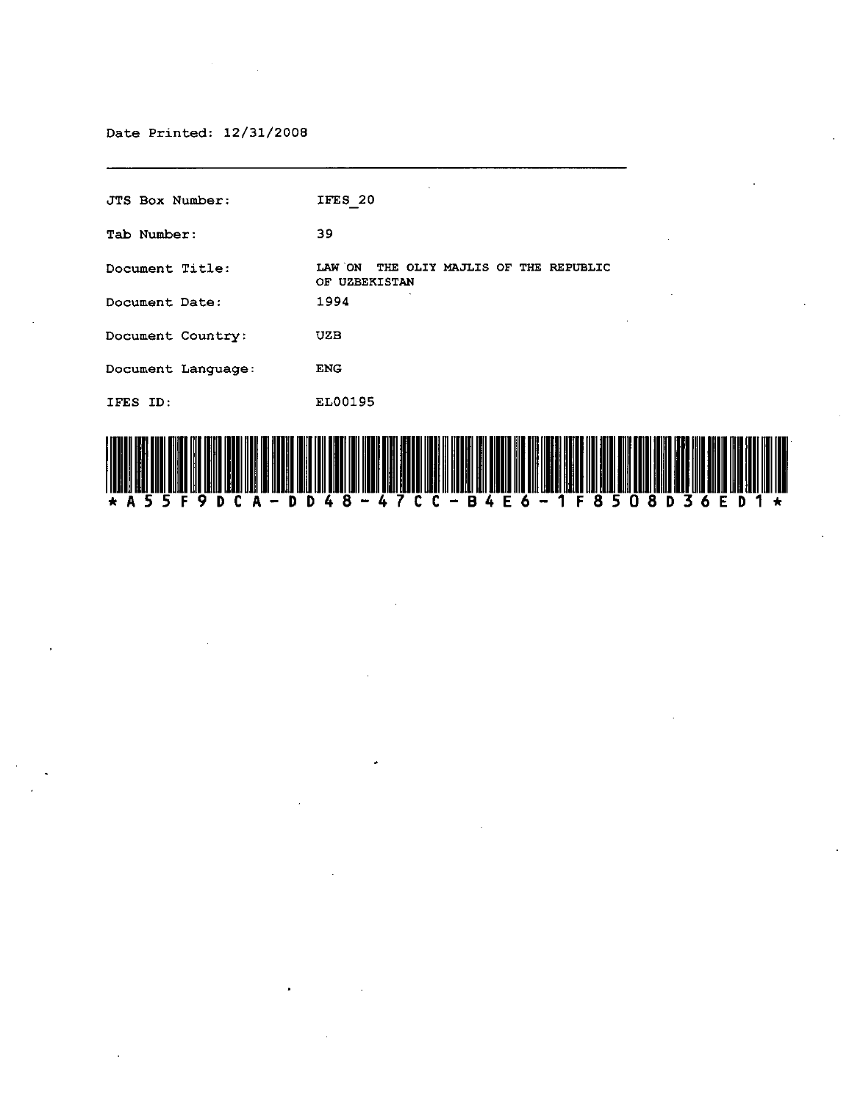#### Date Printed: 12/31/2008

JTS Box Number: Tab Number: **Document Title: Document Date: Document Country: Document Language:**  IFES ID: IFES 20 39 LAW ON THE OLIY MAJLIS OF THE REPUBLIC OF UZBEKISTAN 1994 UZB ENG EL00195

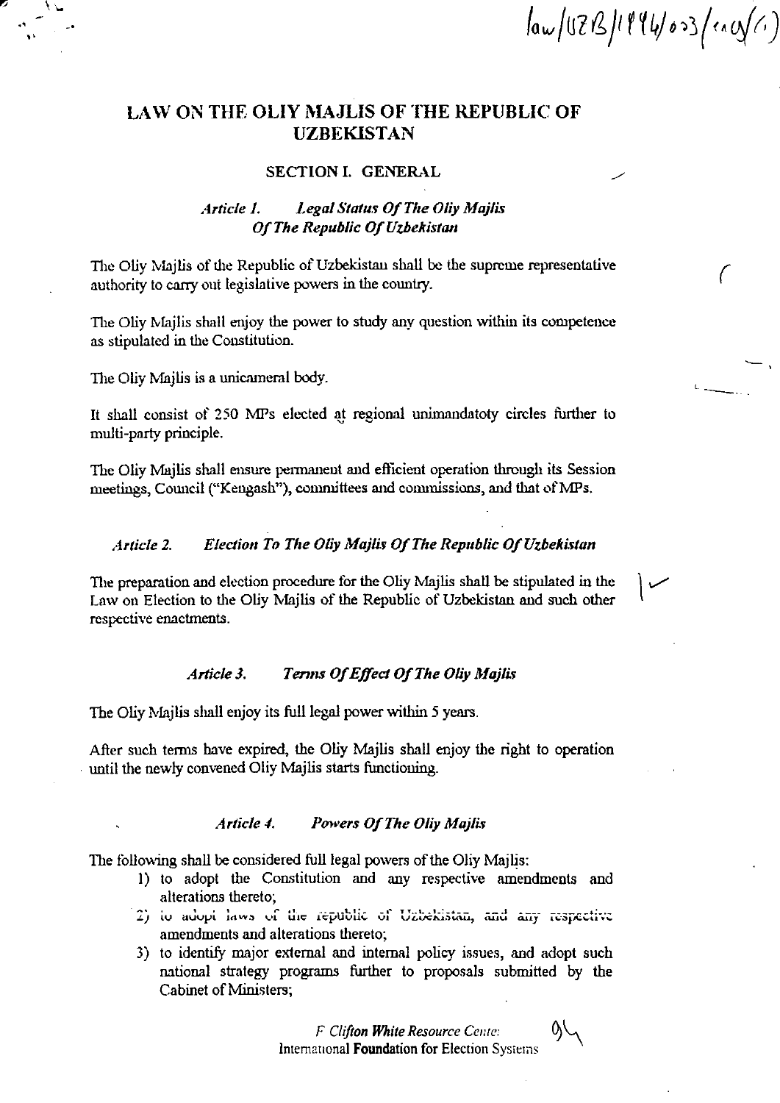$\int a w/17B/1114/03$  (ency(c)

(

 $\overline{\phantom{a}}$ 

# LAW ON THE OLIY MAJLIS OF THE REPUBLIC OF UZBEKISTAN

#### SECTION I. GENERAL

## *Article 1. Legal Status Of The Oliy Majlis 0/ The Republic 0/ Uzbekistan*

The Oliv Majlis of the Republic of Uzbekistan shall be the supreme representative authority to carry out legislative powers in the country.

The Oliy Majlis shall enjoy the power to study any question within its competence as stipulated in the Constitution.

The Oliy Majlis is a unicameral body.

•• .' "

> It shall consist of 250 MPs elected at regional unimandatoty circles further to multi-party principle.

> The Oliy M1jlis shall ensure permanent and efticient operation through its Session meetings, Council ("Kengash"), committees and commissions, and that of MPs.

### *Article 2.* Election To The Oliy Majlis Of The Republic Of Uzbekistan

The preparation and election procedure for the Oliy Majlis shall be stipulated in the Law on Election to the Oliy Majlis of the Republic of Uzbekistau and such other respective enactments.

## Article 3. Terms Of Effect Of The Oliy Majlis

The Oliy Majlis shall enjoy its full legal power within 5 years.

After such terms have expired, the Oliy Majlis shall enjoy the right to operation . until the newly convened Oliy Majlis starts functioning.

## Article 4. Powers Of The Oliy Majlis

The following shall be considered full legal powers of the Oliy Majlis:

- I) to adopt the Constitution and any respective amendmcnts and alterations thereto;<br>
2) io adopt laws of the republic of Uzbekistan, and any respective
- amendments and alterations thereto;
- 3) to identify major external and internal policy issues, and adopt such national strategy programs further to proposals submitted by the Cabinet of Ministers;

*F Clifton White Resource Cente:* International Foundation for Election Systems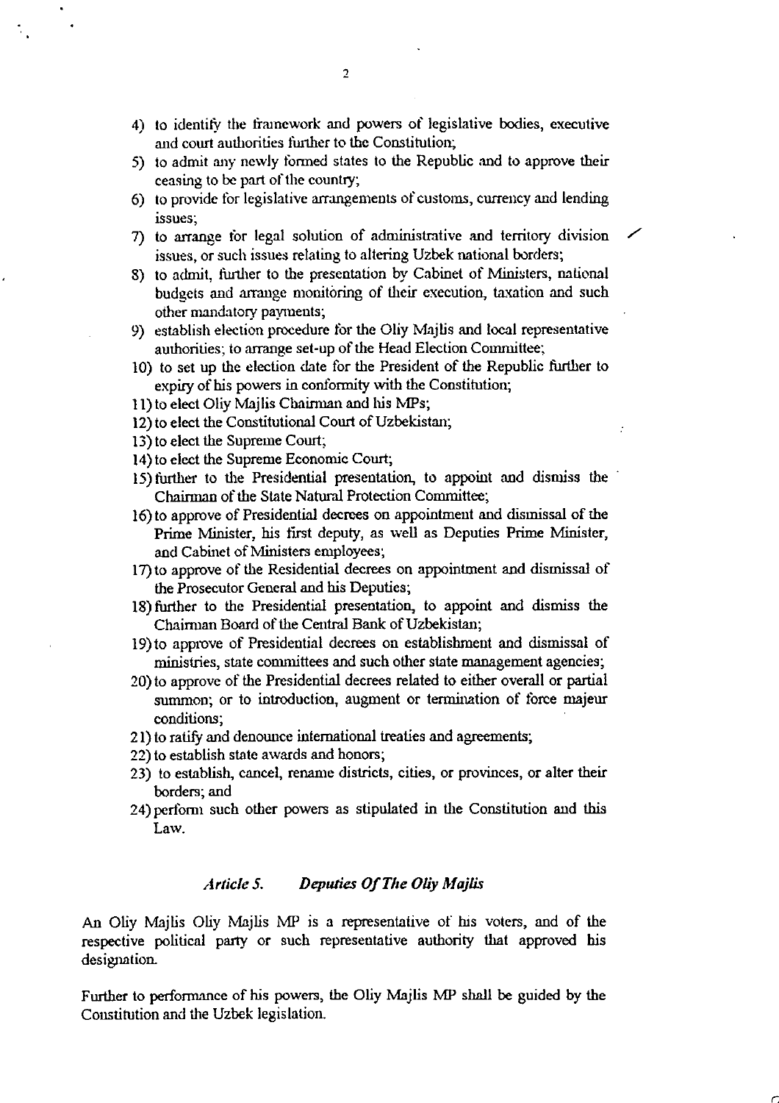- 4) to identifY the framework and powers of legislative bodies, executive and court authorities further to the Constitution;
- 5) to admit any newly formed states to the Republic and to approve their ceasing to be part of the country;
- 6) to provide for legislative arrangements of customs, currency and lending **Issues;**
- 7) to arrange for legal solution of administrative and territory division issues, or such issues relating to altering Uzbek national borders;
- 8) to admit, further to the presentation by Cabinet of Ministers, national budgets and arrange monitoring of their execution, taxation and such other mandatory payments;
- 9) establish election procedure tor the Oliy Majlis and local representative authorities; to arrange set-up of the Head Election Committee;
- 10) to set up the election date for the President of the Republic further to expiry of his powers in conformity \vith the Constitution;
- 11) to elect Oliy Majlis Chairman and his MPs;
- 12) to elect the Constitutional Court of Uzbekistan;
- 13) to elect the Supreme Court;
- 14) to elect the Supreme Economic Court;
- 15) further to the Presidential presentation, to appoint and dismiss the Chairman of the State Natural Protection Committee;
- 16) to approve of Presidential decrees on appointment and dismissal of the Prime Minister, his tirst deputy, as well as Deputies Prime Minister, and Cabinet of Ministers employees;
- 17) to approve of the Residential decrees on appointment and dismissal of the Prosecutor General and his Deputies;
- 18) further to the Presidential presentation, to appoint and dismiss the Chairman Board of the Central Bank of Uzbekistan;
- 19) to approve of Presidential decrees on establishment and dismissal of ministries, state committees and such other state management agencies;
- 20) to approve of the Presidential decrees related to either overall or partial summon; or to introduction, augment or termination of force majeur conditions;
- 21) to ratify and denounce international treaties and agreements;
- 22) to establish state awards and honors;
- 23) to establish, cancel, rename districts, cities, or provinces, or alter their borders; and
- 24) perform such other powers as stipulated in the Constitution and this Law.

## Article 5. Deputies Of The Oliy Majlis

An Oliy Majlis Oliy Majlis MP is a representative of his voters, and of the respective political party or such representative authority that approved his designation.

Further to performance of his powers, the Oliy Majlis MP shall be guided by the Constitution and the Uzbek legislation.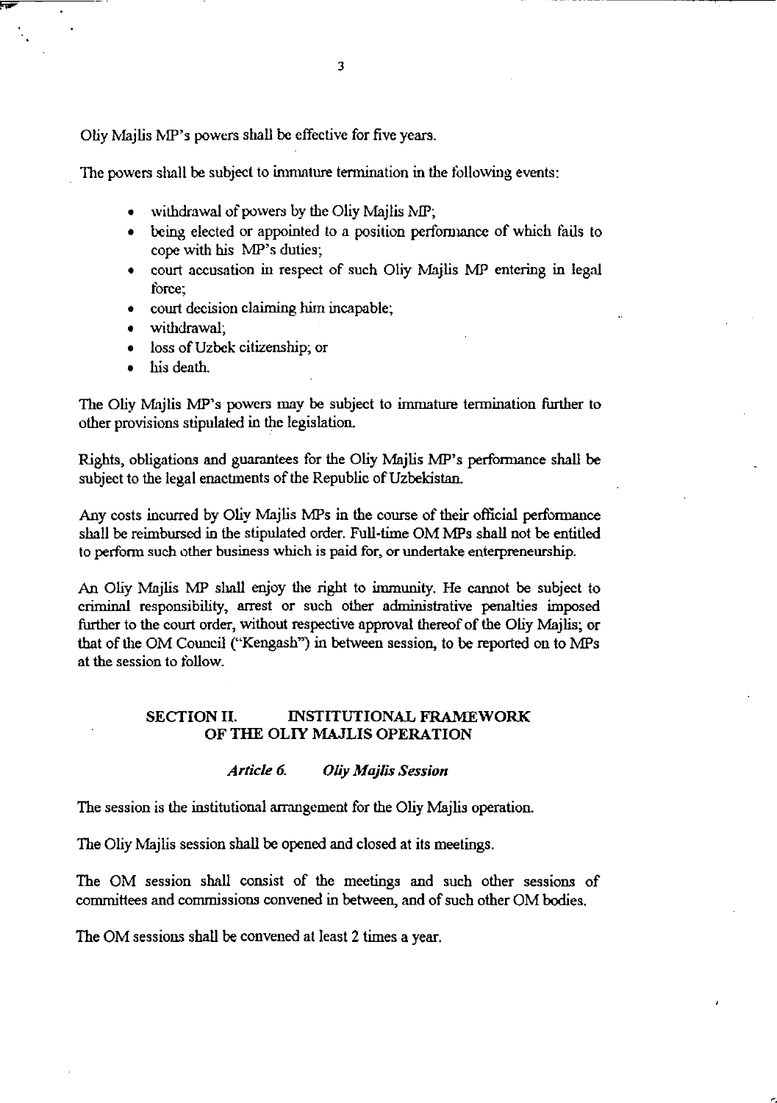Oliy Majlis MP's powers shall be effective for five years.

The powers shall be subject to immature termination in the following events:

- withdrawal of powers by the Oliy Majlis MP;
- being elected or appointed to a position performance of which fails to cope with his MP's duties;
- court accusation in respect of such Oliy Majlis MP entering in legal torce;
- court decision claiming him incapable;
- withdrawal:
- loss of Uzbek citizenship; or
- his death.

The Oliy Majlis MP's powers may be subject to immature termination further to other provisions stipulated in the legislation.

Rights, obligations and guarantees for the Oliy Majlis MP's performance shall be subject to the legal enactments of the Republic of Uzbekistan.

Any costs incurred by Oliy Majlis MPs in the course of their official performance shall be reimbursed in the stipulated order. Full-time OM MPs shall not be entitled to perfonn such other business which is paid for, or undertake enierpreneurship.

An Oliy Majlis MP shall enjoy the right to immunity. He cannot be subject to criminal responsibility, arrest or such other administrative penalties imposed finther to the court order, without respective approval thereof of the Oliy Majlis; or that of the OM Council ("Kengash") in between session, to be reported on to MPs at the session to tollow.

## SECTION II. INSTITUTIONAL FRAMEWORK OF THE OLlY MAJLIS OPERATION

## *Article 6. Oliy Majlis Session*

The session is the institutional arrangement for the Oliy Majlis operation.

The Oliy Majlis session shall be opened and closed at its meetings.

The OM session shall consist of the meetings and such other sessions of committees and commissions convened in between, and of such other OM bodies.

The OM sessions shall be convened at least 2 times a year.

--- ------------~---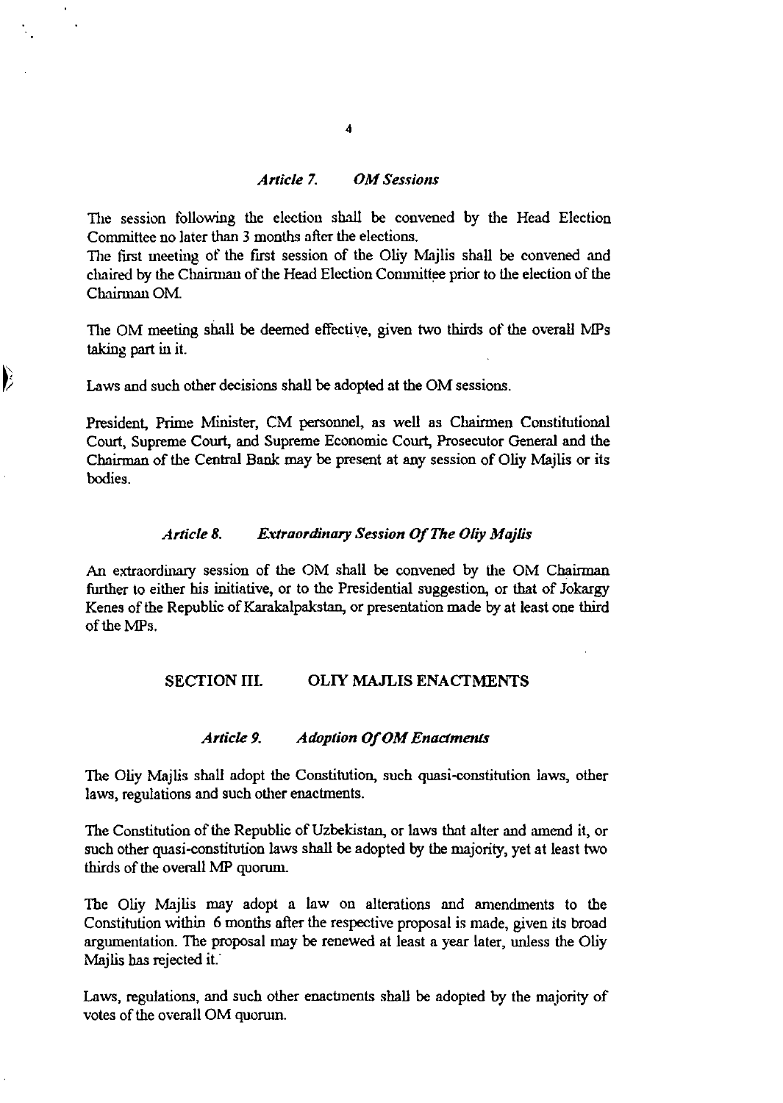## *Article 7. OM Sessions*

The session following the election shall be convened by the Head Election Committee no later than 3 months after the elections.

The first meeting of the first session of the Oliy Majlis shall be convened and chaired by the Chairman of the Head Election Conunittee prior to the election of the Chairman OM.

The OM meeting shall be deemed effective, given two thirds of the overall MPs taking part in it.

Laws and such other decisions shall be adopted at the OM sessions.

 $\overline{\phantom{a}}$ 

President, Prime Minister, CM personnel, as well as Chairmen Constitutional Court, Supreme Court, and Supreme Economic Court, Prosecutor General and the Chairman of the Central Bank may be present at any session of Oliy Mailis or its bodies.

#### Article 8. Extraordinary Session Of The Oliy Majlis

An extraordinary session of the OM shall be convened by the OM Chairman further to either his initiative, or to the Presidential suggestion, or that of Jokargy Kenes of the Republic of Karakalpakstan, or presentation made by at least one third of the MPs.

### SECTION **III.** OLIY MAJLIS ENACTMENTS

#### *Article 9. Adoption Of OM Enactments*

The Oliy Majlis shall adopt the Constitution, such quasi-constitution laws, other laws, regulations and such other enactments.

The Constitution of the Republic of Uzbekistan, or laws that alter and amend it, or such other quasi-constitution laws shall be adopted by the majority, yet at least two thirds of the overall MP quorum.

The Oliy Majlis may adopt a law on alterations and amendments to the Constitution within 6 months after the respective proposal is made, given its broad argumentation. The proposal may be renewed at least a year later, unless the Oliy Majlis has rejected it.

Laws, regulations, and such other enactments shall be adopted by the majority of votes of the ovemll OM quorum.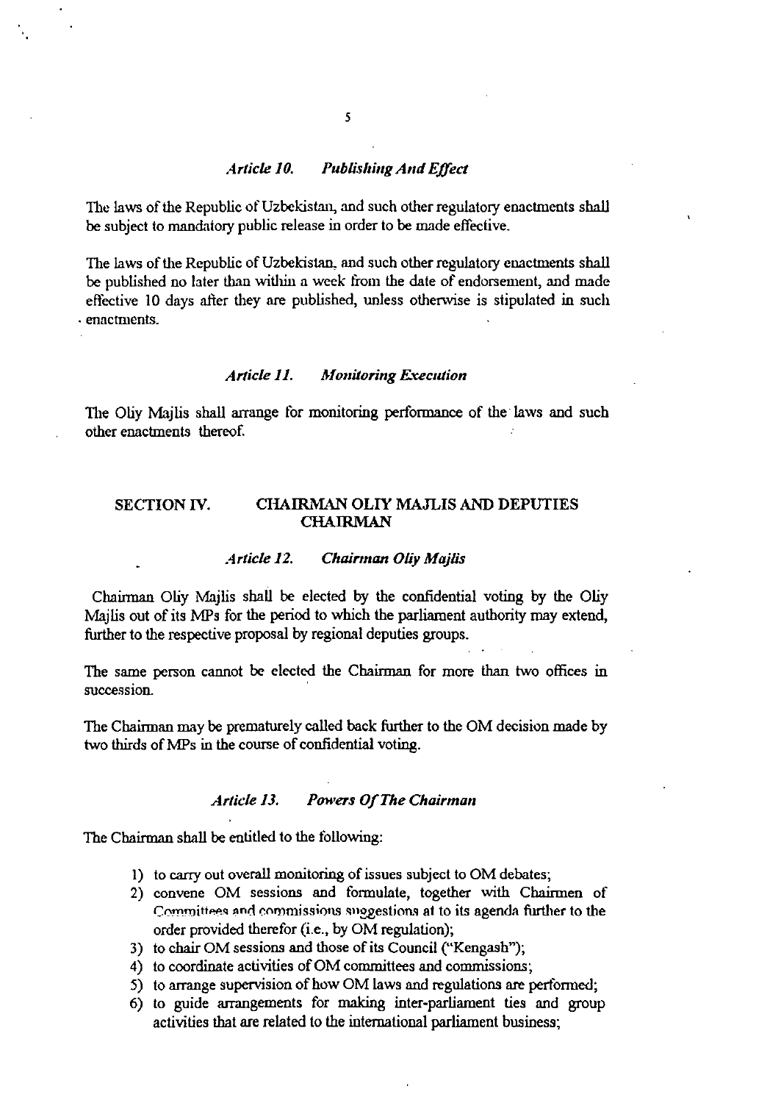## *Article 10.* Publishing And Effect

The laws of the Republic of Uzbekistan, and such other regulatory enactments shall be subject to mandatory public release in order to be made effective.

The laws of the Republic of Uzbekistan, and such other regulatory enactments shall be published no later than within a week from the date of endorsement, and made effective 10 days after they are published, unless otherwise is stipulated in such . enactments.

### *Article 11. Monitoring Execution*

The Oliy Majlis shall arrange for monitoring performance of the laws and such other enactments thereof.

## SECTION IV. CHAIRMAN OLIY MAJLIS AND DEPUTIES CHAIRMAN

#### Article 12. Chairman Oliy Majlis

Chairman Oliy Majlis shall be elected by the confidential voting by the Oliy Majlis out of its MPs for the period to which the parliament authority may extend, further to the respective proposal by regional deputies groups.

The same person cannot be elected the Chairman for more than two offices in succession.

The Chairman may be prematurely called back further to the OM decision made by two thirds of MPs in the course of confidential voting.

## *Article 13. Powers Of The Chairman*

The Chairman shall be entitled to the tollowing:

- 1) to carry out overall monitoring of issues subject to OM debates;
- 2) convene OM sessions and formulate, together with Chairmen of Committees and commissions suggestions at to its agenda further to the order provided therefor (i.e., by OM regulation);
- 3) to chair OM sessions and those of its Council ("Kengash");
- 4) to coordinate activities of OM committees and commissions;
- 5) to arrange supervision of how OM laws and regulations are pertormed;
- 6) to guide arrangements for making inter-parliament ties and group activities that are related to the international parliament business;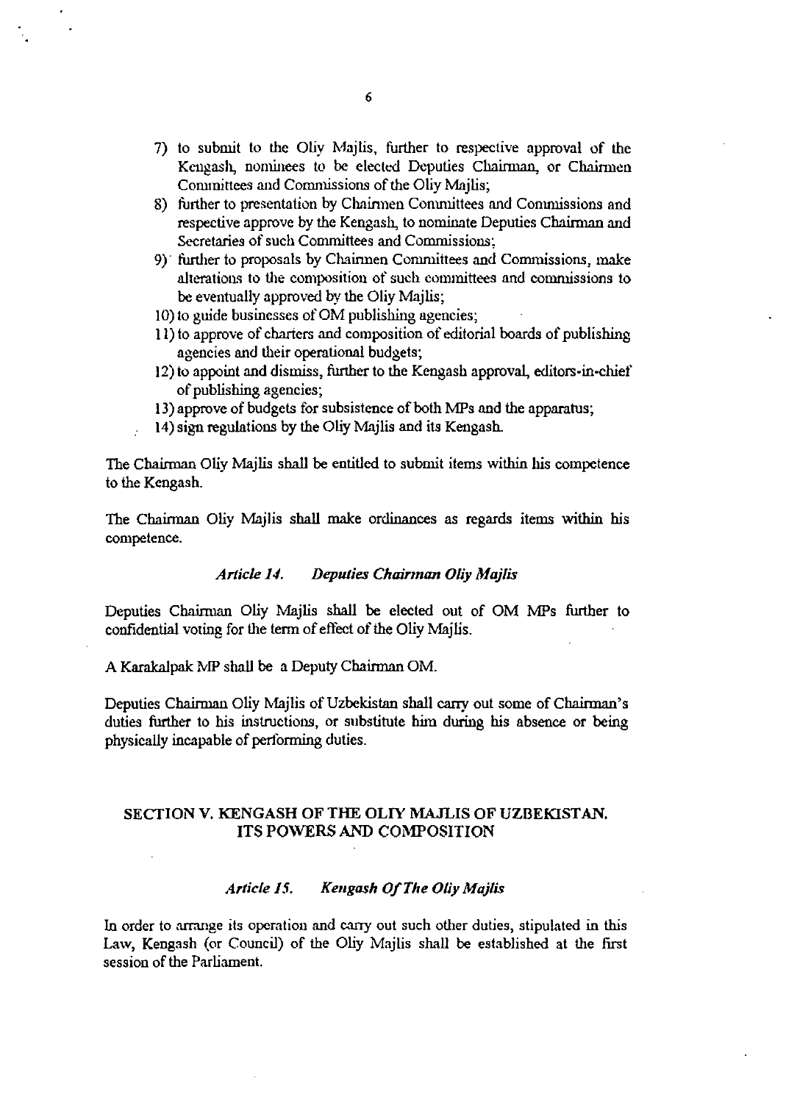- 7) to submit to the Oliy Majlis, further to respective approval of the Kcngash, nominees to be elected Deputies Chairman, or Chairmen Committees and Commissions of the Oliy Majlis;
- 8) further to presentation by Chainnen Committees and Commissions and respective approve by the Kengash, to nominate Deputies Chairman and Secretaries of such Committees and Commissions;
- 9)' further to proposals by Chairmen Committees and Commissions, make alterations to the composition of such committees and conmlissions to be eventually approved by the Oliy Majlis;
- 10) to guide businesses of OM publishing agencies;
- 11) to approve of charters and composition of editorial boards of publishing agencies and their operational budgets;
- 12) to appoint and dismiss, further to the Kengash approval, editors-in-chief of publishing agencies;
- 13) approve of budgets for subsistence of both MPs and the apparatus;
- 14) sign regulations by the Oliy Majlis and its Kengash.

The Chairman Oliy Majlis shall be entitled to submit items within his competence to the Kcngash.

The Chairman Oliy Majlis shall make ordinances as regards items within his competence.

### *Article U. Deputies Chainnan Oliy Majlis*

Deputies Chairman Oliy Majlis shall be elected out of OM MPs further to confidential voting for the term of effect of the Oliy Majlis.

A Karakalpak MP shall be a Deputy Chairman OM.

Deputies Chairman Oliy Majlis of Uzbekistan shall carry out some of Chairman's duties further to his instructions, or substitute him during his absence or being physically incapable of performing duties.

## SECTION V. KENGASH OF THE OLlY MAJLIS OF UZBEKISTAN. ITS POWERS AND COMPOSITION

## *Article* l.'i. *Kellgash Of The Oliy Majlis*

In order to arrange its operation and carry out such other duties, stipulated in this Law, Kengash (or Council) of the Oliy Majlis shall be established at the first session of the Parliament.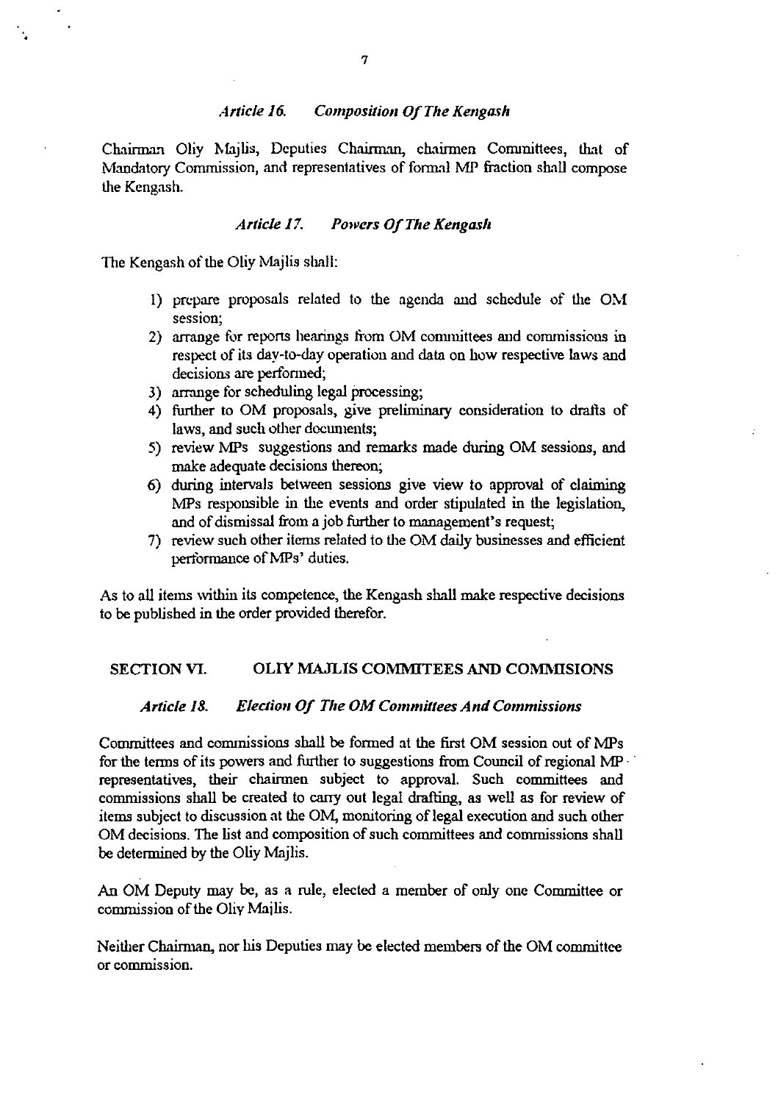#### *Article 16.* Composition Of The Kengash

Chairman Oliy Majlis, Deputies Chainnan, chainnen Committees, that of Mandatory Commission, and representatives of fonnal MP fraction shall compose the Kengash.

### *Article 17. Powers Of The Kengash*

The Kengash of the Oliv Majlis shall:

- 1) prepare proposals related to the agenda and schedule of the OM session;
- 2) arrange for repons hearings from OM committees and commissions in respect of its day·to-day operatiou and data on how respective laws and decisions are perfonned;
- 3) arrnnge for scheduling legal processing;
- 4) further to OM proposals, give preliminary consideration to drafts of laws, and such other documents;
- 5) review MPs suggestions and remarks made during OM sessions, and make adequate decisions thereon;
- 6) during intervals between sessions give view to approval of claiming MPs responsible in the events and order stipulated in the legislation, and of dismissal from a job further to management's request;
- 7) review such other items related to the OM daily businesses and efficient performance of MPs' duties.

As to all items within its competence, the Kengash shall make respective decisions to be published in the order provided therefor.

#### SECTION VI. OLIY MAJLIS COMMITEES AND COMMISIONS

#### Article 18. Election Of The OM Committees And Commissions

Committees and commissions shall be fonned at the first OM session out of MPs for the tenns of its powers and further to suggestions from Council of regional MP· . representatives, their chairmen subject to approval. Such committees and commissions shall be created to carry out legal drafting, as well as for review of items subject to discussion at the OM, monitoring of legal execution and such other OM decisions. The list and composition of such committees and commissions shall be detennined by the Oliy Majlis.

An OM Deputy may be, as a rule, elected a member of only one Committee or commission of the Oliv Mailis.

Neither Chairman, uor his Deputies may be elected members of the OM committee or commission.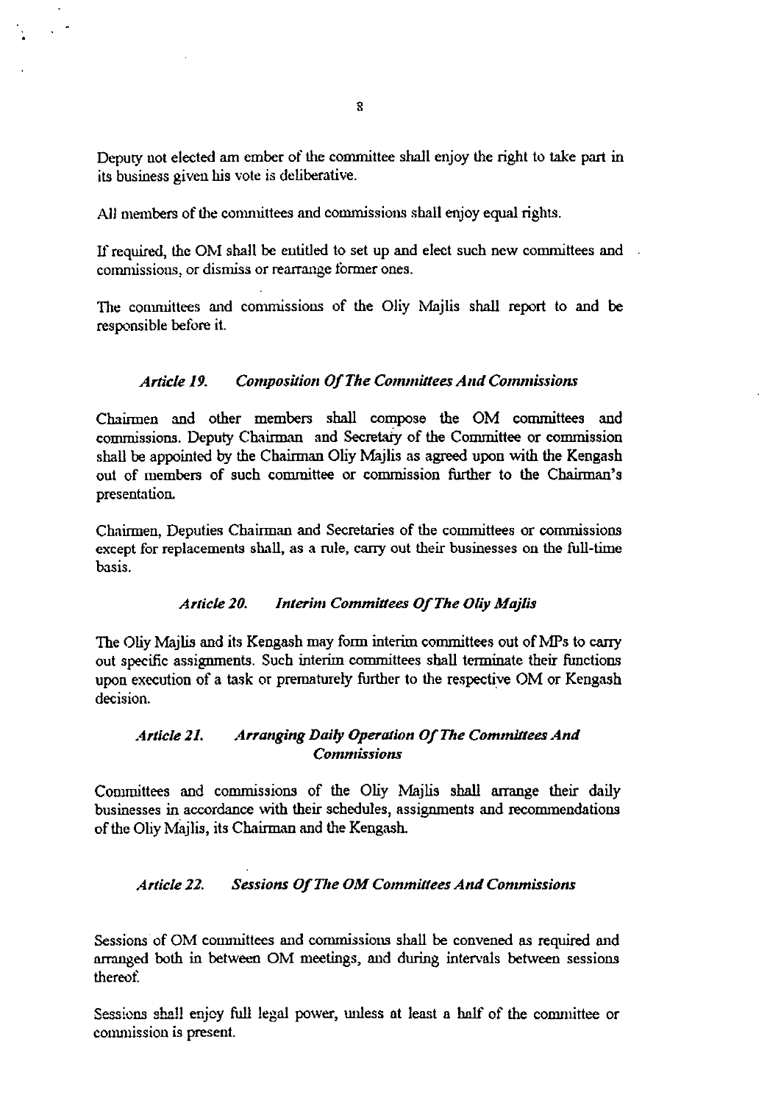Deputy not elected am ember of the committee shall enjoy the right to take part in its business given his vote is deliberative.

All members of the committees and commissions shall enjoy equal rights.

If required, the OM shall be entitled to set up and elect such new committees and commissions, or dismiss or rearrange former ones.

The committees and commissions of the Oliy Majlis shall report to and be responsible before it.

## Article 19. Composition Of The Committees And Commissions

Chairmen and other members shall compose the OM committees and commissions. Deputy Chairman and Secretary of the Committee or commission shall be appointed by the Chairman Oliy Majlis as agreed upon with the Kengash out of members of such committee or commission further to the Chairman's presentation.

Chairmen, Deputies Chairman and Secretaries of the committees or commissions except for replacements shall, as a rule, carry out their businesses on the full-time basis.

#### Article 20. Interim Committees Of The Oliy Majlis

The Oliy Majlis and its Kengash may form interim committees out of MPs to carry out specific assignments. Such interim committees shall terminate their functions upon execution of a task or prematurely further to the respective OM or Kengash decision.

## Article 21. Arranging Daily Operation Of The Committees And *Commissions*

Committees and commissions of the Oliy Majlis shall arrange their daily businesses in accordance with their schedules, assignments and recommendations of the Oliy Majlis, its Chairman and the Kengash.

## Article 22. Sessions Of The OM Committees And Commissions

Sessions of OM committees and commissions shall be convened as required and arranged both in between OM meetings, and during intervals between sessions thereof

Sessions shall enjoy full legal power, unless at least a half of the committee or commission is present.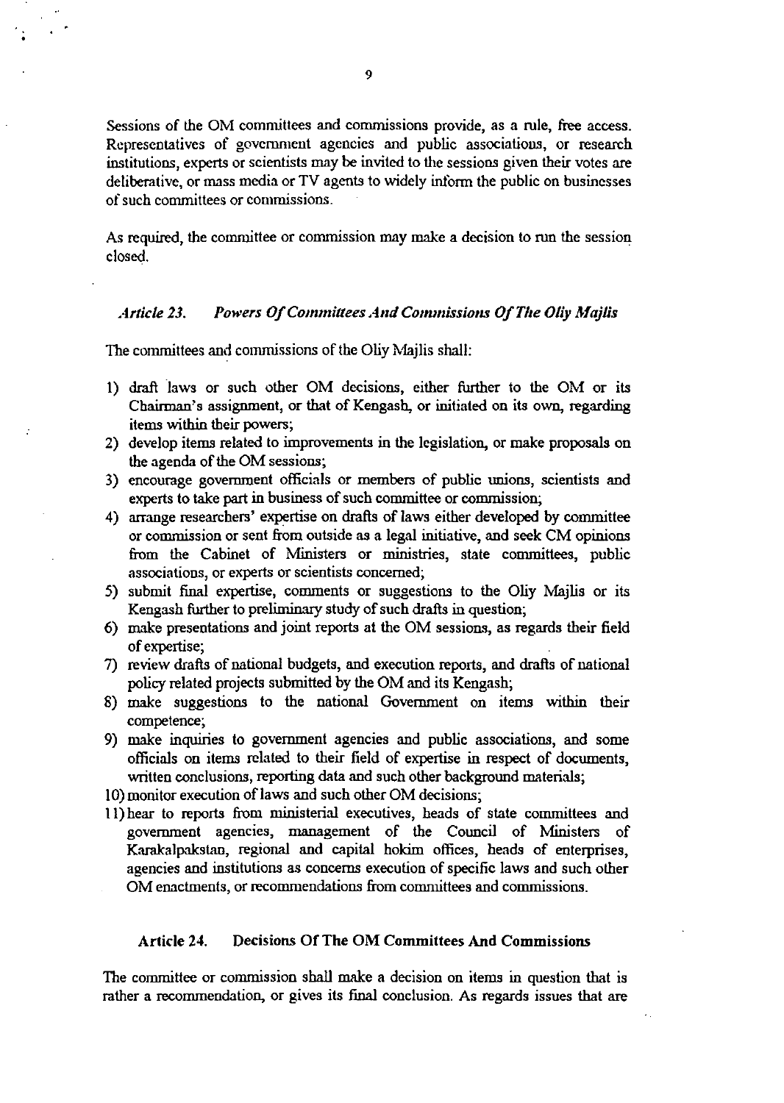Sessions of the OM committees and commissions provide, as a rule, free access. Representatives of government agencies and public associations, or research institutions, experts or scientists may be invited to the sessions given their votes arc deliberative, or mass media or TV agents to widely inform the public on businesses of such committees or commissions.

As required, the committee or commission may make a decision to run the session closed.

## Article 23. Powers Of Committees And Commissions Of The Oliv Mailis

The committees and commissions of the Oliy Mailis shall:

- 1) draft laws or such other OM decisions, either further to the OM or its Chairman's assignment, or that of Kengash, or initiated on its own, regarding items within their powers;
- 2) develop items related to improvements in the legislation, or make proposals on the agenda of the OM sessions;
- 3) encourage government officials or members of public unions, scientists and experts to take part in business of such committee or commission;
- 4) arrange researchers' expertise on drafts of laws either developed by committee or commission or sent from outside as a legal initiative, and seek CM opinions from the Cabinet of Ministers or ministries, state committees, public associations, or experts or scientists concerned;
- 5) submit final expertise, comments or suggestions to the Oliy Majlis or its Kengash further to preliminary study of such drafts in question;
- $6)$  make presentations and joint reports at the OM sessions, as regards their field of expertise;
- 7) review drafts of national budgets, and execution reports, and drafts of national policy related projects submitted by the OM and its Kengash;
- 8) make suggestions to the national Government on items within their competence;
- 9) make inquiries to government agencies and public associations, and some officials on items related to their field of expertise in respect of documents, written conclusions, reporting data and such other background materials;
- 10) monitor execution of laws and such other OM decisions;
- 11) hear to reports from ministerial executives, heads of state committees and government agencies, management of the Council of Ministers of Karakalpakstan, regional and capital hokim offices, heads of enterprises, agencies and institutions as concerns execution of specific laws and such other OM enactments, or recommendations from committees and commissions.

## Article 24. Decisions Of The OM Committees And Commissions

The committee or commission shall make a decision on items in question that is rather a recommendation, or gives its final conclusion. As regards issues that are